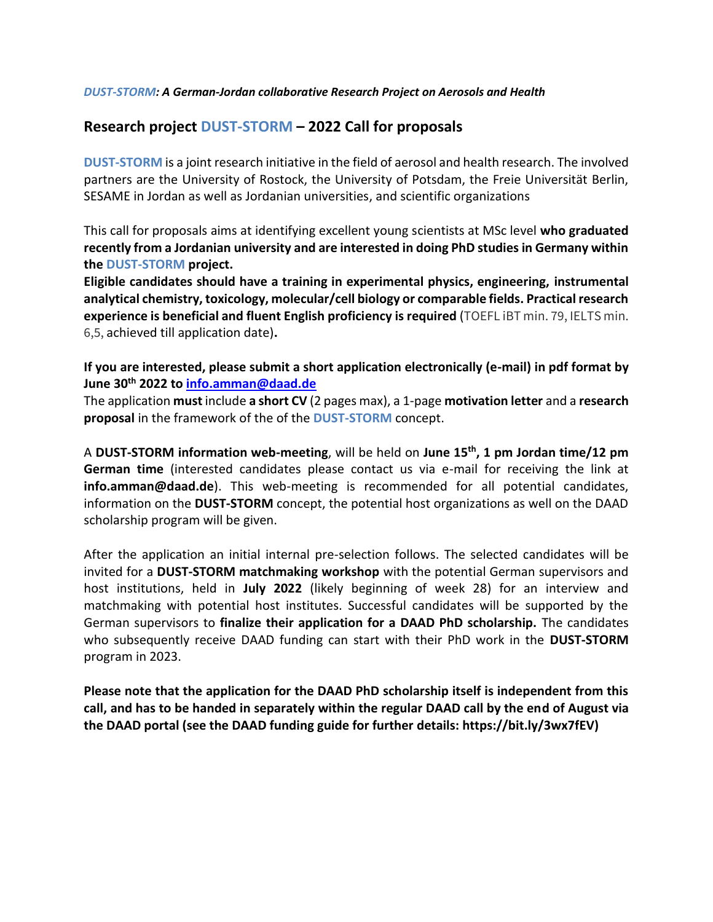### *DUST-STORM: A German-Jordan collaborative Research Project on Aerosols and Health*

# **Research project DUST-STORM – 2022 Call for proposals**

**DUST-STORM** is a joint research initiative in the field of aerosol and health research. The involved partners are the University of Rostock, the University of Potsdam, the Freie Universität Berlin, SESAME in Jordan as well as Jordanian universities, and scientific organizations

This call for proposals aims at identifying excellent young scientists at MSc level **who graduated recently from a Jordanian university and are interested in doing PhD studies in Germany within the DUST-STORM project.** 

**Eligible candidates should have a training in experimental physics, engineering, instrumental analytical chemistry, toxicology, molecular/cell biology or comparable fields. Practical research experience is beneficial and fluent English proficiency is required** (TOEFL iBT min. 79, IELTS min. 6,5, achieved till application date)**.**

**If you are interested, please submit a short application electronically (e-mail) in pdf format by June 30th 2022 to [info.amman@daad.de](mailto:info.amman@daad.de)**

The application **must** include **a short CV** (2 pages max), a 1-page **motivation letter** and a **research proposal** in the framework of the of the **DUST-STORM** concept.

A **DUST-STORM information web-meeting**, will be held on **June 15th, 1 pm Jordan time/12 pm German time** (interested candidates please contact us via e-mail for receiving the link at **info.amman@daad.de**). This web-meeting is recommended for all potential candidates, information on the **DUST-STORM** concept, the potential host organizations as well on the DAAD scholarship program will be given.

After the application an initial internal pre-selection follows. The selected candidates will be invited for a **DUST-STORM matchmaking workshop** with the potential German supervisors and host institutions, held in **July 2022** (likely beginning of week 28) for an interview and matchmaking with potential host institutes. Successful candidates will be supported by the German supervisors to **finalize their application for a DAAD PhD scholarship.** The candidates who subsequently receive DAAD funding can start with their PhD work in the **DUST-STORM** program in 2023.

**Please note that the application for the DAAD PhD scholarship itself is independent from this call, and has to be handed in separately within the regular DAAD call by the end of August via the DAAD portal (see the DAAD funding guide for further details: https://bit.ly/3wx7fEV)**